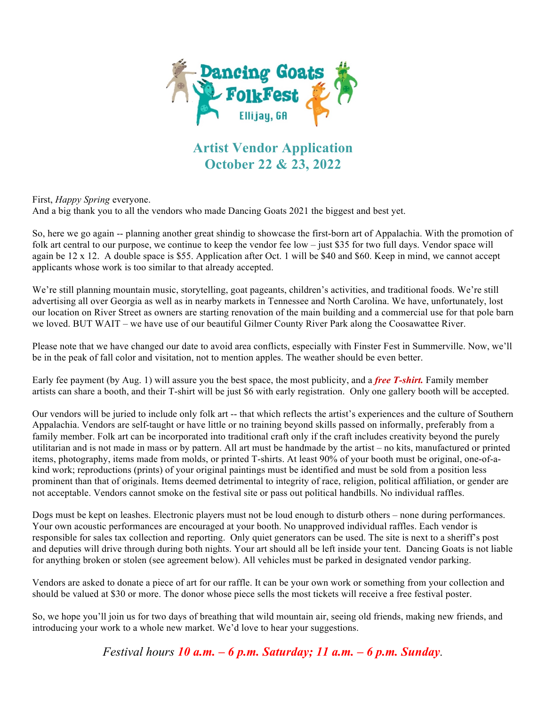

## **Artist Vendor Application October 22 & 23, 2022**

First, *Happy Spring* everyone.

And a big thank you to all the vendors who made Dancing Goats 2021 the biggest and best yet.

So, here we go again -- planning another great shindig to showcase the first-born art of Appalachia. With the promotion of folk art central to our purpose, we continue to keep the vendor fee low – just \$35 for two full days. Vendor space will again be  $12 \times 12$ . A double space is \$55. Application after Oct. 1 will be \$40 and \$60. Keep in mind, we cannot accept applicants whose work is too similar to that already accepted.

We're still planning mountain music, storytelling, goat pageants, children's activities, and traditional foods. We're still advertising all over Georgia as well as in nearby markets in Tennessee and North Carolina. We have, unfortunately, lost our location on River Street as owners are starting renovation of the main building and a commercial use for that pole barn we loved. BUT WAIT – we have use of our beautiful Gilmer County River Park along the Coosawattee River.

Please note that we have changed our date to avoid area conflicts, especially with Finster Fest in Summerville. Now, we'll be in the peak of fall color and visitation, not to mention apples. The weather should be even better.

Early fee payment (by Aug. 1) will assure you the best space, the most publicity, and a *free T-shirt.* Family member artists can share a booth, and their T-shirt will be just \$6 with early registration. Only one gallery booth will be accepted.

Our vendors will be juried to include only folk art -- that which reflects the artist's experiences and the culture of Southern Appalachia. Vendors are self-taught or have little or no training beyond skills passed on informally, preferably from a family member. Folk art can be incorporated into traditional craft only if the craft includes creativity beyond the purely utilitarian and is not made in mass or by pattern. All art must be handmade by the artist – no kits, manufactured or printed items, photography, items made from molds, or printed T-shirts. At least 90% of your booth must be original, one-of-akind work; reproductions (prints) of your original paintings must be identified and must be sold from a position less prominent than that of originals. Items deemed detrimental to integrity of race, religion, political affiliation, or gender are not acceptable. Vendors cannot smoke on the festival site or pass out political handbills. No individual raffles.

Dogs must be kept on leashes. Electronic players must not be loud enough to disturb others – none during performances. Your own acoustic performances are encouraged at your booth. No unapproved individual raffles. Each vendor is responsible for sales tax collection and reporting. Only quiet generators can be used. The site is next to a sheriff's post and deputies will drive through during both nights. Your art should all be left inside your tent. Dancing Goats is not liable for anything broken or stolen (see agreement below). All vehicles must be parked in designated vendor parking.

Vendors are asked to donate a piece of art for our raffle. It can be your own work or something from your collection and should be valued at \$30 or more. The donor whose piece sells the most tickets will receive a free festival poster.

So, we hope you'll join us for two days of breathing that wild mountain air, seeing old friends, making new friends, and introducing your work to a whole new market. We'd love to hear your suggestions.

*Festival hours 10 a.m. – 6 p.m. Saturday; 11 a.m. – 6 p.m. Sunday.*